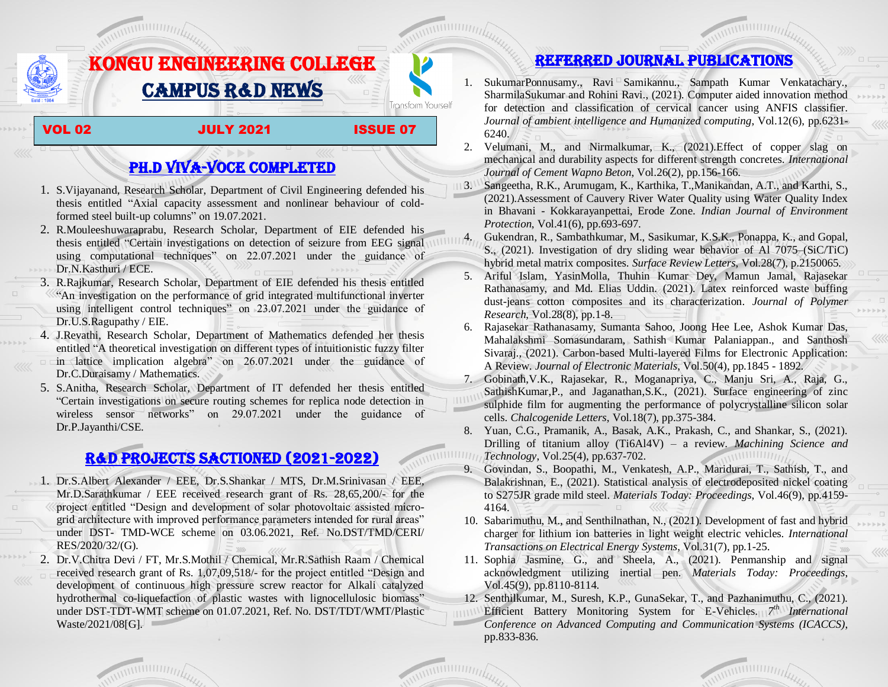

## PH.D VIVA-VOCE COMPLETED

- 1. S.Vijayanand, Research Scholar, Department of Civil Engineering defended his thesis entitled "Axial capacity assessment and nonlinear behaviour of coldformed steel built-up columns" on 19.07.2021.
- 2. R.Mouleeshuwaraprabu, Research Scholar, Department of EIE defended his thesis entitled "Certain investigations on detection of seizure from EEG signal using computational techniques" on 22.07.2021 under the guidance of Dr.N.Kasthuri / ECE.
- 3. R.Rajkumar, Research Scholar, Department of EIE defended his thesis entitled "An investigation on the performance of grid integrated multifunctional inverter using intelligent control techniques" on 23.07.2021 under the guidance of Dr.U.S.Ragupathy / EIE.
- 4. J.Revathi, Research Scholar, Department of Mathematics defended her thesis entitled "A theoretical investigation on different types of intuitionistic fuzzy filter in lattice implication algebra" on 26.07.2021 under the guidance of Dr.C.Duraisamy / Mathematics.
- 5. S.Anitha, Research Scholar, Department of IT defended her thesis entitled "Certain investigations on secure routing schemes for replica node detection in wireless sensor networks" on 29.07.2021 under the guidance of Dr.P.Jayanthi/CSE.

## R&D PROJECTS SACTIONED (2021-2022)

- 1. Dr.S.Albert Alexander / EEE, Dr.S.Shankar / MTS, Dr.M.Srinivasan / EEE, Mr.D.Sarathkumar / EEE received research grant of Rs. 28,65,200/- for the project entitled "Design and development of solar photovoltaic assisted microgrid architecture with improved performance parameters intended for rural areas" under DST- TMD-WCE scheme on 03.06.2021, Ref. No.DST/TMD/CERI/ RES/2020/32/(G).
- 2. Dr.V.Chitra Devi / FT, Mr.S.Mothil / Chemical, Mr.R.Sathish Raam / Chemical received research grant of Rs. 1,07,09,518/- for the project entitled "Design and development of continuous high pressure screw reactor for Alkali catalyzed hydrothermal co-liquefaction of plastic wastes with lignocellulosic biomass" under DST-TDT-WMT scheme on 01.07.2021, Ref. No. DST/TDT/WMT/Plastic Waste/2021/08[G].

## Referred JOURNAL publications

- 1. SukumarPonnusamy., Ravi Samikannu., Sampath Kumar Venkatachary., SharmilaSukumar and Rohini Ravi., (2021). Computer aided innovation method for detection and classification of cervical cancer using ANFIS classifier. *Journal of ambient intelligence and Humanized computing*, Vol.12(6), pp.6231-6240.
- 2. Velumani, M., and Nirmalkumar, K., (2021).Effect of copper slag on mechanical and durability aspects for different strength concretes. *International Journal of Cement Wapno Beton*, Vol.26(2), pp.156-166.
- 3. Sangeetha, R.K., Arumugam, K., Karthika, T.,Manikandan, A.T., and Karthi, S., (2021).Assessment of Cauvery River Water Quality using Water Quality Index in Bhavani - Kokkarayanpettai, Erode Zone. *Indian Journal of Environment Protection*, Vol.41(6), pp.693-697.
	- 4. Gukendran, R., Sambathkumar, M., Sasikumar, K.S.K., Ponappa, K., and Gopal, S., (2021). Investigation of dry sliding wear behavior of Al 7075–(SiC/TiC) hybrid metal matrix composites. *Surface Review Letters*, Vol.28(7), p.2150065.
- 5. Ariful Islam, YasinMolla, Thuhin Kumar Dey, Mamun Jamal, Rajasekar Rathanasamy, and Md. Elias Uddin. (2021). Latex reinforced waste buffing dust-jeans cotton composites and its characterization. *Journal of Polymer Research*, Vol.28(8), pp.1-8.
- 6. Rajasekar Rathanasamy, Sumanta Sahoo, Joong Hee Lee, Ashok Kumar Das, Mahalakshmi Somasundaram, Sathish Kumar Palaniappan., and Santhosh Sivaraj., (2021). Carbon-based Multi-layered Films for Electronic Application: A Review. *Journal of Electronic Materials*, Vol.50(4), pp.1845 - 1892.
- 7. Gobinath,V.K., Rajasekar, R., Moganapriya, C., Manju Sri, A., Raja, G., SathishKumar,P., and Jaganathan,S.K., (2021). Surface engineering of zinc sulphide film for augmenting the performance of polycrystalline silicon solar cells. *Chalcogenide Letters*, Vol.18(7), pp.375-384.
- 8. Yuan, C.G., Pramanik, A., Basak, A.K., Prakash, C., and Shankar, S., (2021). Drilling of titanium alloy (Ti6Al4V) – a review. *Machining Science and*   $IIIIII111$ *Technology*, Vol.25(4), pp.637-702.
	- 9. Govindan, S., Boopathi, M., Venkatesh, A.P., Maridurai, T., Sathish, T., and Balakrishnan, E., (2021). Statistical analysis of electrodeposited nickel coating to S275JR grade mild steel. *Materials Today: Proceedings*, Vol.46(9), pp.4159- 4164.
	- 10. Sabarimuthu, M., and Senthilnathan, N., (2021). Development of fast and hybrid charger for lithium ion batteries in light weight electric vehicles. *International Transactions on Electrical Energy Systems*, Vol.31(7), pp.1-25.
	- 11. Sophia Jasmine, G., and Sheela, A., (2021). Penmanship and signal acknowledgment utilizing inertial pen. *Materials Today: Proceedings*, Vol.45(9), pp.8110-8114.
	- 12. Senthilkumar, M., Suresh, K.P., GunaSekar, T., and Pazhanimuthu, C., (2021).
	- Efficient Battery Monitoring System for E-Vehicles. 7<sup>th</sup> International *Conference on Advanced Computing and Communication Systems (ICACCS)*, pp.833-836.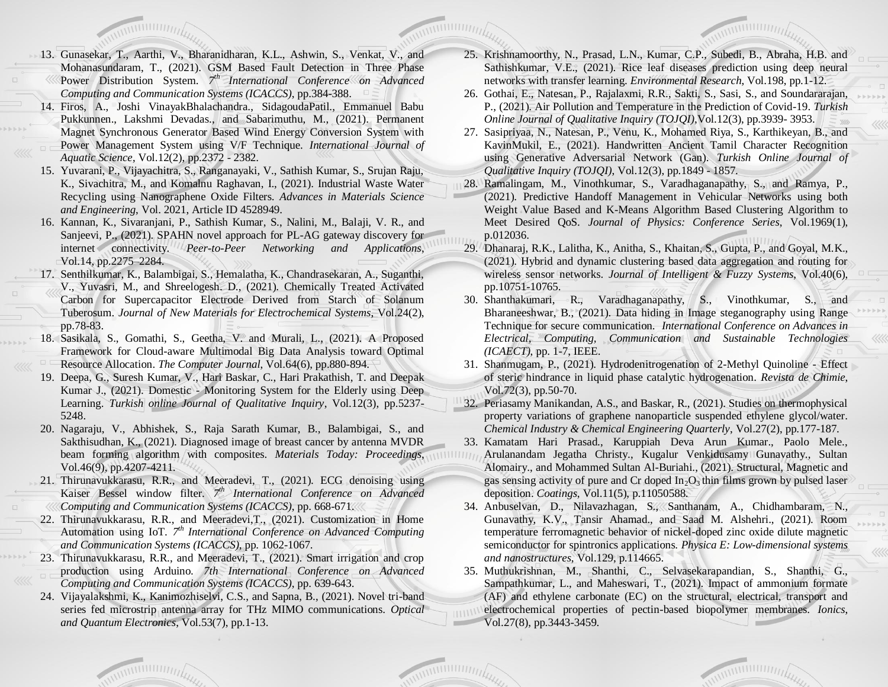- 13. Gunasekar, T., Aarthi, V., Bharanidharan, K.L., Ashwin, S., Venkat, V., and Mohanasundaram, T., (2021). GSM Based Fault Detection in Three Phase Power Distribution System. 7<sup>th</sup> International Conference on Advanced *Computing and Communication Systems (ICACCS)*, pp.384-388.
- 14. Firos, A., Joshi VinayakBhalachandra., SidagoudaPatil., Emmanuel Babu Pukkunnen., Lakshmi Devadas., and Sabarimuthu, M., (2021). Permanent Magnet Synchronous Generator Based Wind Energy Conversion System with Power Management System using V/F Technique. *International Journal of Aquatic Science*, Vol.12(2), pp.2372 - 2382.
- 15. Yuvarani, P., Vijayachitra, S., Ranganayaki, V., Sathish Kumar, S., Srujan Raju, K., Sivachitra, M., and Komalnu Raghavan, I., (2021). Industrial Waste Water Recycling using Nanographene Oxide Filters. *Advances in Materials Science and Engineering*, Vol. 2021, Article ID 4528949.
- 16. Kannan, K., Sivaranjani, P., Sathish Kumar, S., Nalini, M., Balaji, V. R., and Sanjeevi, P., (2021). SPAHN novel approach for PL-AG gateway discovery for internet connectivity. *Peer-to-Peer Networking and Applications*, Vol.14, pp.2275–2284.
- 17. Senthilkumar, K., Balambigai, S., Hemalatha, K., Chandrasekaran, A., Suganthi, V., Yuvasri, M., and Shreelogesh. D., (2021). Chemically Treated Activated Carbon for Supercapacitor Electrode Derived from Starch of Solanum Tuberosum. *Journal of New Materials for Electrochemical Systems*, Vol.24(2), pp.78-83.
- 18. Sasikala, S., Gomathi, S., Geetha, V. and Murali, L., (2021). A Proposed Framework for Cloud-aware Multimodal Big Data Analysis toward Optimal Resource Allocation. *The Computer Journal*, Vol.64(6), pp.880-894.
- 19. Deepa, G., Suresh Kumar, V., Hari Baskar, C., Hari Prakathish, T. and Deepak Kumar J., (2021). Domestic - Monitoring System for the Elderly using Deep Learning. *Turkish online Journal of Qualitative Inquiry*, Vol.12(3), pp.5237- 5248.
- 20. Nagaraju, V., Abhishek, S., Raja Sarath Kumar, B., Balambigai, S., and Sakthisudhan, K., (2021). Diagnosed image of breast cancer by antenna MVDR beam forming algorithm with composites. *Materials Today: Proceedings*, Vol.46(9), pp.4207-4211.
- 21. Thirunavukkarasu, R.R., and Meeradevi, T., (2021). ECG denoising using Kaiser Bessel window filter. 7<sup>th</sup> International Conference on Advanced *Computing and Communication Systems (ICACCS)*, pp. 668-671.
- 22. Thirunavukkarasu, R.R., and Meeradevi,T., (2021). Customization in Home Automation using IoT. 7<sup>th</sup> International Conference on Advanced Computing *and Communication Systems (ICACCS)*, pp. 1062-1067.
- 23. Thirunavukkarasu, R.R., and Meeradevi, T., (2021). Smart irrigation and crop production using Arduino. *7th International Conference on Advanced Computing and Communication Systems (ICACCS)*, pp. 639-643.
- 24. Vijayalakshmi, K., Kanimozhiselvi, C.S., and Sapna, B., (2021). Novel tri-band series fed microstrip antenna array for THz MIMO communications. *Optical and Quantum Electronics*, Vol.53(7), pp.1-13.
- 25. Krishnamoorthy, N., Prasad, L.N., Kumar, C.P., Subedi, B., Abraha, H.B. and Sathishkumar, V.E., (2021). Rice leaf diseases prediction using deep neural networks with transfer learning. *Environmental Research*, Vol.198, pp.1-12.
- 26. Gothai, E., Natesan, P., Rajalaxmi, R.R., Sakti, S., Sasi, S., and Soundararajan, P., (2021). Air Pollution and Temperature in the Prediction of Covid-19. *Turkish Online Journal of Qualitative Inquiry (TOJQI)*,Vol.12(3), pp.3939- 3953.
- 27. Sasipriyaa, N., Natesan, P., Venu, K., Mohamed Riya, S., Karthikeyan, B., and KavinMukil, E., (2021). Handwritten Ancient Tamil Character Recognition using Generative Adversarial Network (Gan). *Turkish Online Journal of Qualitative Inquiry (TOJQI)*, Vol.12(3), pp.1849 - 1857.
- 28. Ramalingam, M., Vinothkumar, S., Varadhaganapathy, S., and Ramya, P., (2021). Predictive Handoff Management in Vehicular Networks using both Weight Value Based and K-Means Algorithm Based Clustering Algorithm to Meet Desired QoS. *Journal of Physics: Conference Series*, Vol.1969(1), p.012036.
- 29. Dhanaraj, R.K., Lalitha, K., Anitha, S., Khaitan, S., Gupta, P., and Goyal, M.K., (2021). Hybrid and dynamic clustering based data aggregation and routing for wireless sensor networks. *Journal of Intelligent & Fuzzy Systems*, Vol.40(6), pp.10751-10765.
- 30. Shanthakumari, R., Varadhaganapathy, S., Vinothkumar, S., and Bharaneeshwar, B., (2021). Data hiding in Image steganography using Range Technique for secure communication. *International Conference on Advances in Electrical, Computing, Communication and Sustainable Technologies (ICAECT)*, pp. 1-7, IEEE.
- 31. Shanmugam, P., (2021). Hydrodenitrogenation of 2-Methyl Quinoline Effect of steric hindrance in liquid phase catalytic hydrogenation. *Revista de Chimie*, Vol.72(3), pp.50-70.
- 32. Periasamy Manikandan, A.S., and Baskar, R., (2021). Studies on thermophysical property variations of graphene nanoparticle suspended ethylene glycol/water. *Chemical Industry & Chemical Engineering Quarterly*, Vol.27(2), pp.177-187.
- 33. Kamatam Hari Prasad., Karuppiah Deva Arun Kumar., Paolo Mele., Arulanandam Jegatha Christy., Kugalur Venkidusamy Gunavathy., Sultan Alomairy., and Mohammed Sultan Al-Buriahi., (2021). Structural, Magnetic and gas sensing activity of pure and Cr doped  $In_2O_3$  thin films grown by pulsed laser deposition. *Coatings*, Vol.11(5), p.11050588.
- 34. Anbuselvan, D., Nilavazhagan, S., Santhanam, A., Chidhambaram, N., Gunavathy, K.V., Tansir Ahamad., and Saad M. Alshehri., (2021). Room temperature ferromagnetic behavior of nickel-doped zinc oxide dilute magnetic semiconductor for spintronics applications. *Physica E: Low-dimensional systems and nanostructures*, Vol.129, p.114665.
- 35. Muthukrishnan, M., Shanthi, C., Selvasekarapandian, S., Shanthi, G., Sampathkumar, L., and Maheswari, T., (2021). Impact of ammonium formate (AF) and ethylene carbonate (EC) on the structural, electrical, transport and electrochemical properties of pectin-based biopolymer membranes. *Ionics*, Vol.27(8), pp.3443-3459.